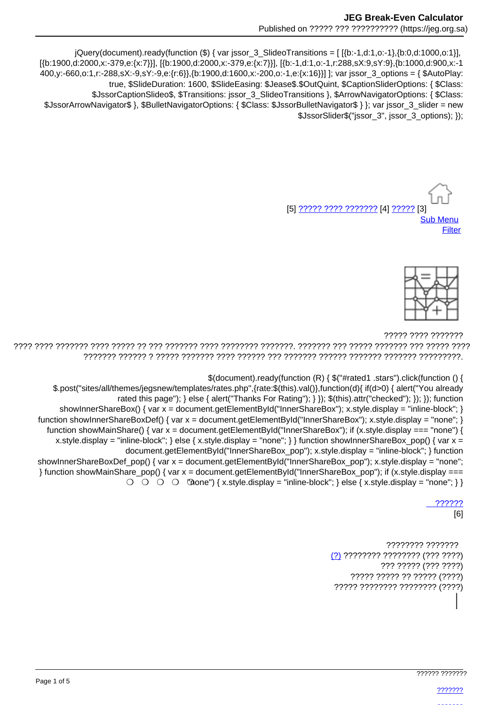jQuery(document).ready(function (\$) { var jssor\_3\_SlideoTransitions = [[{b:-1,d:1,o:-1},{b:0,d:1000,o:1}], [{b:1900.d:2000.x:-379.e:{x:7}}], [{b:1900.d:2000.x:-379.e:{x:7}}], [{b:-1.d:1.o:-1.r:288.sX:9.sY:9}, {b:1000.d:900.x:-1 400,y:-660,o:1,r:-288,sX:-9,sY:-9,e:{r:6}},{b:1900,d:1600,x:-200,o:-1,e:{x:16}}] ]; var jssor\_3\_options = { \$AutoPlay: true, \$SlideDuration: 1600, \$SlideEasing: \$Jease\$.\$OutQuint, \$CaptionSliderOptions: { \$Class: \$JssorCaptionSlideo\$, \$Transitions: jssor\_3\_SlideoTransitions }, \$ArrowNavigatorOptions: { \$Class: \$JssorArrowNavigator\$ }, \$BulletNavigatorOptions: { \$Class: \$JssorBulletNavigator\$ } }; var jssor\_3\_slider = new \$JssorSlider\$("jssor 3", jssor 3 options); });

> [5] <u>????? ???? ????????</u> [4] ????? [3] **Sub Menu** Filter



77777 7777 7777777

\$(document).ready(function (R) { \$("#rated1 .stars").click(function () {

\$.post("sites/all/themes/jegsnew/templates/rates.php",{rate:\$(this).val()},function(d){ if(d>0) { alert("You already rated this page"); } else { alert("Thanks For Rating"); } }); \$(this).attr("checked"); }); }); function showInnerShareBox() { var  $x =$  document.getElementById("InnerShareBox"): x.style.display = "inline-block": } function showInnerShareBoxDef() { var  $x =$  document.getElementById("InnerShareBox"); x.style.display = "none"; } function showMainShare() { var  $x =$  document.getElementById("InnerShareBox"); if (x.style.display === "none") { x.style.display = "inline-block"; } else { x.style.display = "none"; } } function showInnerShareBox pop() { var  $x =$ document.getElementById("InnerShareBox pop"); x.style.display = "inline-block"; } function showInnerShareBoxDef\_pop() { var x = document.getElementById("InnerShareBox\_pop"); x.style.display = "none"; } function showMainShare\_pop() { var x = document.getElementById("InnerShareBox pop"); if (x.style.display ===  $\bigcirc$   $\bigcirc$   $\bigcirc$   $\bigcirc$   $\bigcirc$   $\bigcirc$   $\bigcirc$   $\bigcirc$   $\bigcirc$   $\bigcirc$   $\bigcirc$   $\bigcirc$   $\bigcirc$   $\bigcirc$   $\bigcirc$   $\bigcirc$   $\bigcirc$   $\bigcirc$   $\bigcirc$   $\bigcirc$   $\bigcirc$   $\bigcirc$   $\bigcirc$   $\bigcirc$   $\bigcirc$   $\bigcirc$   $\bigcirc$   $\bigcirc$   $\bigcirc$   $\bigcirc$   $\bigcirc$   $\bigcirc$   $\bigcirc$   $\bigcirc$   $\bigcirc$   $\bigcirc$   $\bigcirc$ 

??????

 $[6]$ 

???????? ??????? (?) ???????? ???????? (??? ????) ??? ????? (??? ????) ????? ????? ?? ????? (????) ????? ???????? ???????? (????)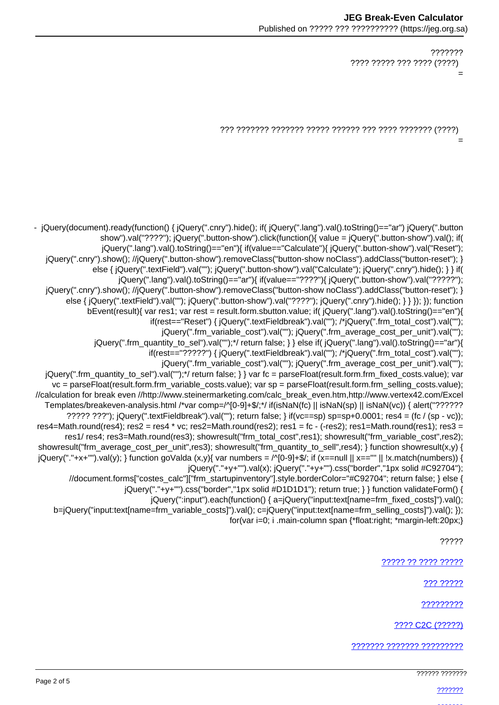??????? (????) ???? ??? ????? ????

=

=

(????) ??????? ???? ??? ?????? ????? ??????? ??????? ???

- jQuery(document).ready(function() { jQuery(".cnry").hide(); if( jQuery(".lang").val().toString()=="ar") jQuery(".button show").val("????");  $iQuery(".button-show").click(function() { value = iQuery(".button-show").val(); if($ jQuery(".lang").val().toString()=="en"){ if(value=="Calculate"){ jQuery(".button-show").val("Reset");  ${[Query("cnry").show(); // [Query(".button-show").removeClass("button-show noClass").addClass("button-reset"); }\}$ else { jQuery(".textField").val(""); jQuery(".button-show").val("Calculate"); jQuery(".cnry").hide(); } } if(  $jQuery("Jang").val().toString() == "ar") { if (value == "????");} { [Query("Jouton-show").val("?????");}$  ${iQuery("cnry").show}: //Query(".button-show").removeClass("button-show noClass").addClass("button-reset"); }$ else { jQuery(".textField").val(""); jQuery(".button-show").val("????"); jQuery(".cnry").hide(); } } }); }); function bEvent(result){ var res1; var rest = result.form.sbutton.value; if( jQuery(".lang").val().toString()=="en"){ ;("")val.")cost\_total\_frm.("jQuery\*/(""); val.")textFieldbreak.("jQuery") { Reset=="rest(if jQuery(".frm\_variable\_cost").val(""); jQuery(".frm\_average\_cost\_per\_unit").val("");  $jQuery("frm quantity to sel").val("");*/ return false; }$  else if  $jQuery(".lang").val().toString() == "ar")$ if(rest=="?????") { jQuery(".textFieldbreak").val(""); /\*jQuery(".frm\_total\_cost").val(""); jQuery(".frm\_variable\_cost").val(""); jQuery(".frm\_average\_cost\_per\_unit").val(""); jQuery(".frm\_quantity\_to\_sel").val("");\*/ return false; } } var fc = parseFloat(result.form.frm\_fixed\_costs.value); var vc = parseFloat(result.form.frm\_variable\_costs.value); var sp = parseFloat(result.form.frm\_selling\_costs.value); //calculation for break even //http://www.steinermarketing.com/calc\_break\_even.htm.http://www.vertex42.com/Excel Templates/breakeven-analysis.html /\*var comp=/^[0-9]+\$/;\*/ if(isNaN(fc) || isNaN(sp) || isNaN(vc)) { alert("?????? ????? ???");  $[Query("textFieldbreak").val("]$ ; return false;  $\}$  if(vc==sp) sp=sp+0.0001; res4 = (fc / (sp - vc)); res4=Math.round(res4); res2 = res4 \* vc; res2=Math.round(res2); res1 = fc - (-res2); res1=Math.round(res1); res3 = res1/res4; res3=Math.round(res3); showresult("frm\_total\_cost",res1); showresult("frm\_variable\_cost",res2); showresult ("frm\_average\_cost\_per\_unit",res3); showresult ("frm\_quantity\_to\_sell",res4); } function showresult(x,y) {  $jQuery("."+x+""'.val(y);$  {tunction goValda  $(x,y)$ } var numbers =  $N[0-9]+$/; if (x == null || x == " || !x.match(numbers))$  { jQuery("."+y+"").val(x); jQuery("."+y+"").css("border","1px solid #C92704"); //document.forms["costes\_calc"]["frm\_startupinventory"].style.borderColor="#C92704"; return false; } else { jQuery("."+y+"").css("border","1px solid #D1D1D1"); return true; } } function validateForm() {  $jQuery("input").each (function() { a = jQuery("input:text|name=frm fixed costs]").val();}$ b=iQuery("input:text[name=frm\_variable\_costs]").val(); c=jQuery("input:text[name=frm\_selling\_costs]").val(); });  $for(var i=0; i.main-column span {*float: right; *margin-left:20px.} )$ 

?????

[????? ???? ?? ?????](https://jeg.org.sa/?q=ar/findpartner/home)

????????

[?????????](https://jeg.org.sa/?q=ar/tenders)

???? C2C (?????)

[????????? ??????? ???????](https://jeg.org.sa/?q=ar/sme/home)

??????? ??????

[???????](https://jeg.org.sa/?q=ar/businesssectors/464)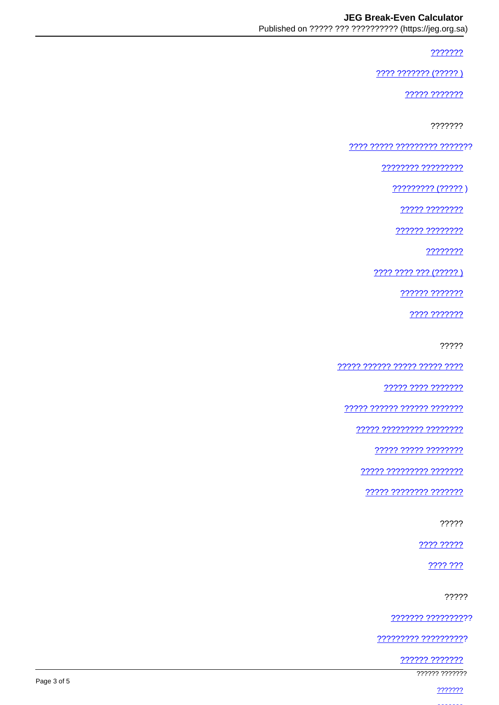???????

???? ??????? (????? )

22222 2222222

???????

<u> ???? ????? ????????? ???????</u>

<u> ???????? ?????????</u>

????????? (????? )

????? ????????

777777 77777777

????????

???? ???? ??? (????? )

?????? ???????

???? ???????

?????

77777 777777 77777 77777 7777

<u> ????? ???? ???????</u>

77777 777777 777777 7777777

????? ????????? ????????

77777 77777 77777777

77777 777777777 7777777

????? ???????? ???????

?????

???? ?????

???? ???

?????

<u>??????? ?????????</u>??

????????? ??????????

<u>?????? ???????</u>

777777 7777777

2222222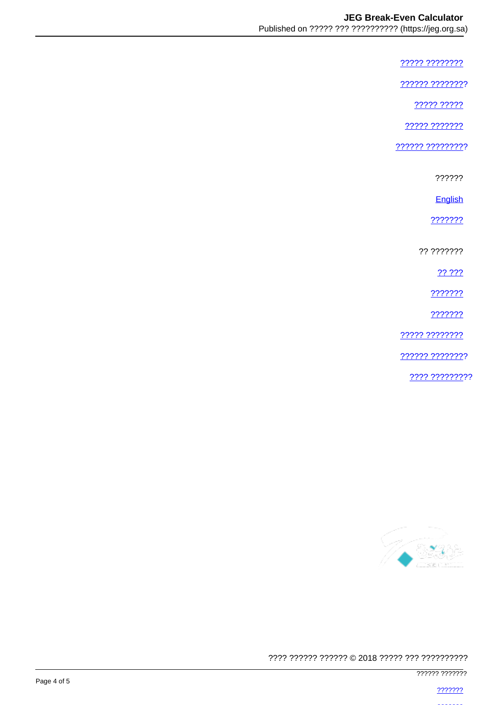????? ????????

?????? ????????

????? ?????

????? ???????

777777 777777777

??????

English

???????

?? ???????

 $?? ? ??$ 

???????

???????

????? ????????

222222 22222222

???? ?????????



???? ?????? ?????? © 2018 ????? ??? ??????????

777777 7777777

2222222